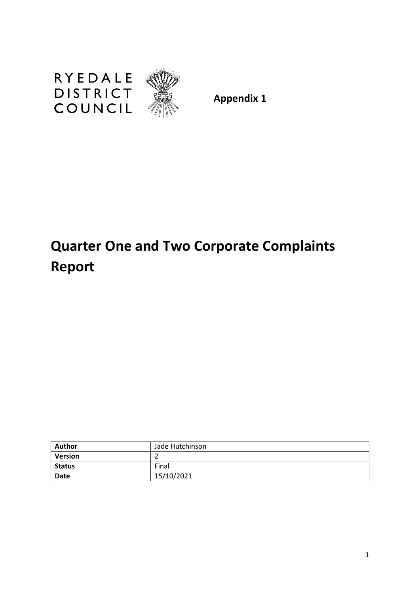

**Appendix 1**

# **Quarter One and Two Corporate Complaints Report**

| <b>Author</b>  | Jade Hutchinson |
|----------------|-----------------|
| <b>Version</b> |                 |
| <b>Status</b>  | Final           |
| <b>Date</b>    | 15/10/2021      |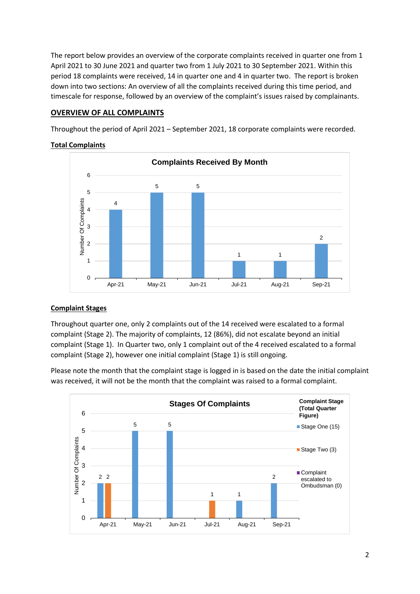The report below provides an overview of the corporate complaints received in quarter one from 1 April 2021 to 30 June 2021 and quarter two from 1 July 2021 to 30 September 2021. Within this period 18 complaints were received, 14 in quarter one and 4 in quarter two. The report is broken down into two sections: An overview of all the complaints received during this time period, and timescale for response, followed by an overview of the complaint's issues raised by complainants.

# **OVERVIEW OF ALL COMPLAINTS**

Throughout the period of April 2021 – September 2021, 18 corporate complaints were recorded.

## **Complaints Received By Month** 6 5 5 5 Number Of Complaints Number Of Complaints 4 4 3 2 2 1 1 1  $\Omega$ Apr-21 May-21 Jun-21 Jul-21 Aug-21 Sep-21

# **Total Complaints**

# **Complaint Stages**

Throughout quarter one, only 2 complaints out of the 14 received were escalated to a formal complaint (Stage 2). The majority of complaints, 12 (86%), did not escalate beyond an initial complaint (Stage 1). In Quarter two, only 1 complaint out of the 4 received escalated to a formal complaint (Stage 2), however one initial complaint (Stage 1) is still ongoing.

Please note the month that the complaint stage is logged in is based on the date the initial complaint was received, it will not be the month that the complaint was raised to a formal complaint.

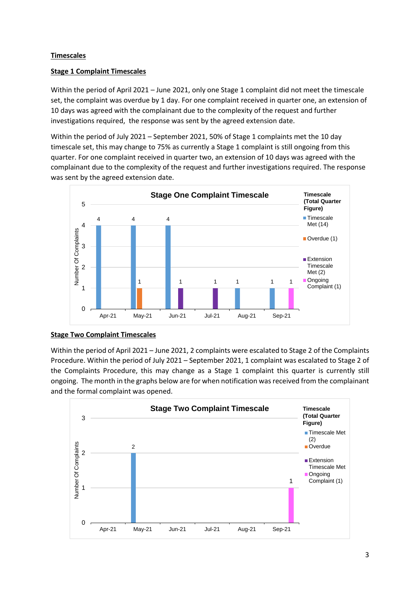## **Timescales**

#### **Stage 1 Complaint Timescales**

Within the period of April 2021 – June 2021, only one Stage 1 complaint did not meet the timescale set, the complaint was overdue by 1 day. For one complaint received in quarter one, an extension of 10 days was agreed with the complainant due to the complexity of the request and further investigations required, the response was sent by the agreed extension date.

Within the period of July 2021 – September 2021, 50% of Stage 1 complaints met the 10 day timescale set, this may change to 75% as currently a Stage 1 complaint is still ongoing from this quarter. For one complaint received in quarter two, an extension of 10 days was agreed with the complainant due to the complexity of the request and further investigations required. The response was sent by the agreed extension date.



#### **Stage Two Complaint Timescales**

Within the period of April 2021 – June 2021, 2 complaints were escalated to Stage 2 of the Complaints Procedure. Within the period of July 2021 – September 2021, 1 complaint was escalated to Stage 2 of the Complaints Procedure, this may change as a Stage 1 complaint this quarter is currently still ongoing. The month in the graphs below are for when notification was received from the complainant and the formal complaint was opened.

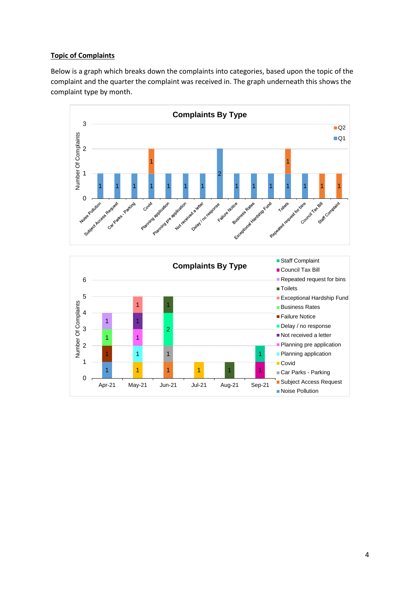## **Topic of Complaints**

Below is a graph which breaks down the complaints into categories, based upon the topic of the complaint and the quarter the complaint was received in. The graph underneath this shows the complaint type by month.

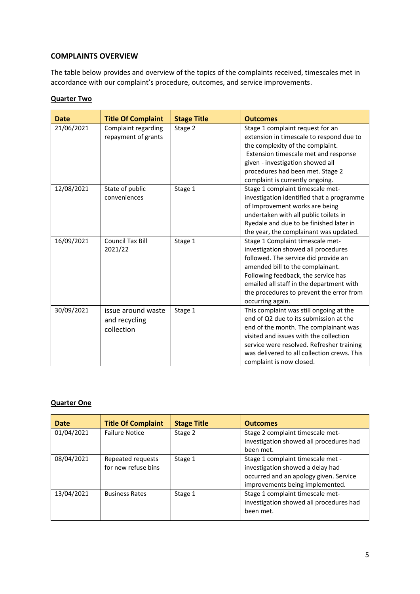# **COMPLAINTS OVERVIEW**

The table below provides and overview of the topics of the complaints received, timescales met in accordance with our complaint's procedure, outcomes, and service improvements.

## **Quarter Two**

| <b>Date</b> | <b>Title Of Complaint</b>                         | <b>Stage Title</b> | <b>Outcomes</b>                                                                                                                                                                                                                                                                                        |
|-------------|---------------------------------------------------|--------------------|--------------------------------------------------------------------------------------------------------------------------------------------------------------------------------------------------------------------------------------------------------------------------------------------------------|
| 21/06/2021  | Complaint regarding<br>repayment of grants        | Stage 2            | Stage 1 complaint request for an<br>extension in timescale to respond due to<br>the complexity of the complaint.<br>Extension timescale met and response<br>given - investigation showed all<br>procedures had been met. Stage 2<br>complaint is currently ongoing.                                    |
| 12/08/2021  | State of public<br>conveniences                   | Stage 1            | Stage 1 complaint timescale met-<br>investigation identified that a programme<br>of Improvement works are being<br>undertaken with all public toilets in<br>Ryedale and due to be finished later in<br>the year, the complainant was updated.                                                          |
| 16/09/2021  | <b>Council Tax Bill</b><br>2021/22                | Stage 1            | Stage 1 Complaint timescale met-<br>investigation showed all procedures<br>followed. The service did provide an<br>amended bill to the complainant.<br>Following feedback, the service has<br>emailed all staff in the department with<br>the procedures to prevent the error from<br>occurring again. |
| 30/09/2021  | issue around waste<br>and recycling<br>collection | Stage 1            | This complaint was still ongoing at the<br>end of Q2 due to its submission at the<br>end of the month. The complainant was<br>visited and issues with the collection<br>service were resolved. Refresher training<br>was delivered to all collection crews. This<br>complaint is now closed.           |

#### **Quarter One**

| Date       | <b>Title Of Complaint</b>                | <b>Stage Title</b> | <b>Outcomes</b>                                                                                                                                    |
|------------|------------------------------------------|--------------------|----------------------------------------------------------------------------------------------------------------------------------------------------|
| 01/04/2021 | <b>Failure Notice</b>                    | Stage 2            | Stage 2 complaint timescale met-<br>investigation showed all procedures had<br>been met.                                                           |
| 08/04/2021 | Repeated requests<br>for new refuse bins | Stage 1            | Stage 1 complaint timescale met -<br>investigation showed a delay had<br>occurred and an apology given. Service<br>improvements being implemented. |
| 13/04/2021 | <b>Business Rates</b>                    | Stage 1            | Stage 1 complaint timescale met-<br>investigation showed all procedures had<br>been met.                                                           |